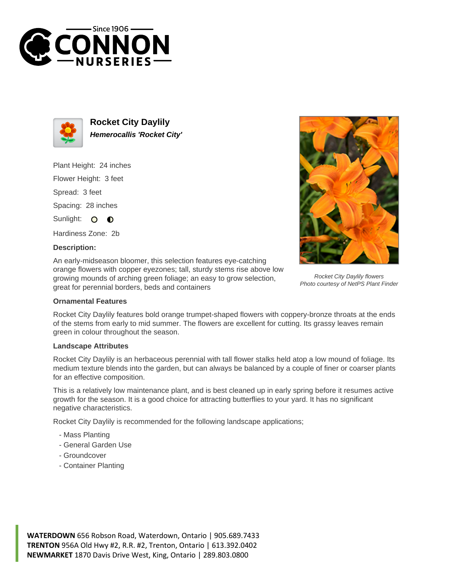



**Rocket City Daylily Hemerocallis 'Rocket City'**

Plant Height: 24 inches

Flower Height: 3 feet

Spread: 3 feet

Spacing: 28 inches

Sunlight: O  $\bullet$ 

Hardiness Zone: 2b

## **Description:**

An early-midseason bloomer, this selection features eye-catching orange flowers with copper eyezones; tall, sturdy stems rise above low growing mounds of arching green foliage; an easy to grow selection, great for perennial borders, beds and containers

## **Ornamental Features**

Rocket City Daylily features bold orange trumpet-shaped flowers with coppery-bronze throats at the ends of the stems from early to mid summer. The flowers are excellent for cutting. Its grassy leaves remain green in colour throughout the season.

## **Landscape Attributes**

Rocket City Daylily is an herbaceous perennial with tall flower stalks held atop a low mound of foliage. Its medium texture blends into the garden, but can always be balanced by a couple of finer or coarser plants for an effective composition.

This is a relatively low maintenance plant, and is best cleaned up in early spring before it resumes active growth for the season. It is a good choice for attracting butterflies to your yard. It has no significant negative characteristics.

Rocket City Daylily is recommended for the following landscape applications;

- Mass Planting
- General Garden Use
- Groundcover
- Container Planting





Rocket City Daylily flowers Photo courtesy of NetPS Plant Finder